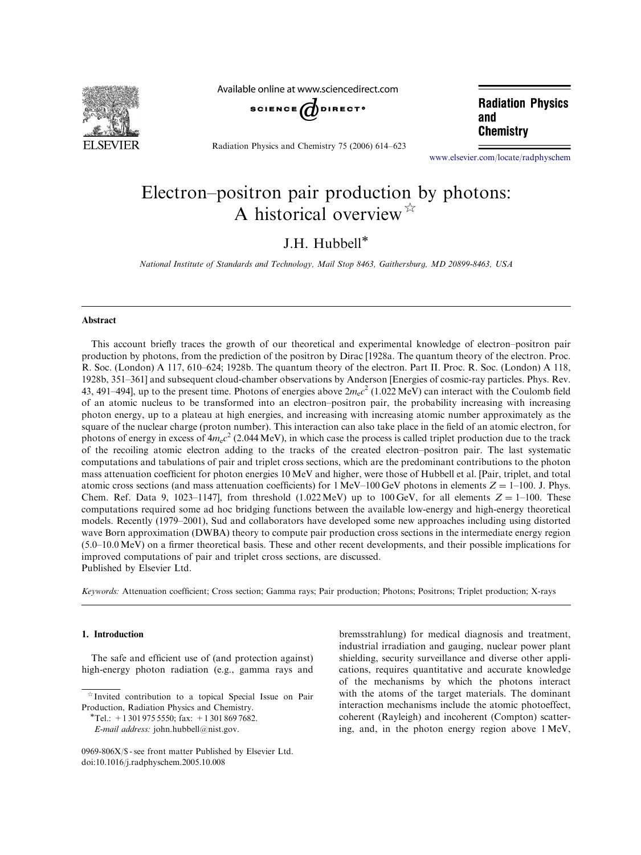

Available online at www.sciencedirect.com



Radiation Physics and Chemistry 75 (2006) 614–623

**Radiation Physics** and **Chemistry** 

www.elsevier.com/locate/radphyschem

# Electron–positron pair production by photons: A historical overview  $\overrightarrow{r}$

## J.H. Hubbell

National Institute of Standards and Technology, Mail Stop 8463, Gaithersburg, MD 20899-8463, USA

#### Abstract

This account briefly traces the growth of our theoretical and experimental knowledge of electron–positron pair production by photons, from the prediction of the positron by Dirac [1928a. The quantum theory of the electron. Proc. R. Soc. (London) A 117, 610–624; 1928b. The quantum theory of the electron. Part II. Proc. R. Soc. (London) A 118, 1928b, 351–361] and subsequent cloud-chamber observations by Anderson [Energies of cosmic-ray particles. Phys. Rev. 43, 491–494], up to the present time. Photons of energies above  $2m_ec^2$  (1.022 MeV) can interact with the Coulomb field of an atomic nucleus to be transformed into an electron–positron pair, the probability increasing with increasing photon energy, up to a plateau at high energies, and increasing with increasing atomic number approximately as the square of the nuclear charge (proton number). This interaction can also take place in the field of an atomic electron, for photons of energy in excess of  $4m_ec^2$  (2.044 MeV), in which case the process is called triplet production due to the track of the recoiling atomic electron adding to the tracks of the created electron–positron pair. The last systematic computations and tabulations of pair and triplet cross sections, which are the predominant contributions to the photon mass attenuation coefficient for photon energies 10 MeV and higher, were those of Hubbell et al. [Pair, triplet, and total atomic cross sections (and mass attenuation coefficients) for  $1 \text{ MeV}-100 \text{ GeV}$  photons in elements  $Z = 1-100$ . J. Phys. Chem. Ref. Data 9, 1023–1147], from threshold (1.022 MeV) up to 100 GeV, for all elements  $Z = 1-100$ . These computations required some ad hoc bridging functions between the available low-energy and high-energy theoretical models. Recently (1979–2001), Sud and collaborators have developed some new approaches including using distorted wave Born approximation (DWBA) theory to compute pair production cross sections in the intermediate energy region (5.0–10.0 MeV) on a firmer theoretical basis. These and other recent developments, and their possible implications for improved computations of pair and triplet cross sections, are discussed. Published by Elsevier Ltd.

Keywords: Attenuation coefficient; Cross section; Gamma rays; Pair production; Photons; Positrons; Triplet production; X-rays

#### 1. Introduction

The safe and efficient use of (and protection against) high-energy photon radiation (e.g., gamma rays and bremsstrahlung) for medical diagnosis and treatment, industrial irradiation and gauging, nuclear power plant shielding, security surveillance and diverse other applications, requires quantitative and accurate knowledge of the mechanisms by which the photons interact with the atoms of the target materials. The dominant interaction mechanisms include the atomic photoeffect, coherent (Rayleigh) and incoherent (Compton) scattering, and, in the photon energy region above 1 MeV,

 $*$ Invited contribution to a topical Special Issue on Pair Production, Radiation Physics and Chemistry.<br>\*Tel.: +1 301 975 5550; fax: +1 301 869 7682.

E-mail address: john.hubbell@nist.gov.

<sup>0969-806</sup>X/\$ - see front matter Published by Elsevier Ltd. doi:10.1016/j.radphyschem.2005.10.008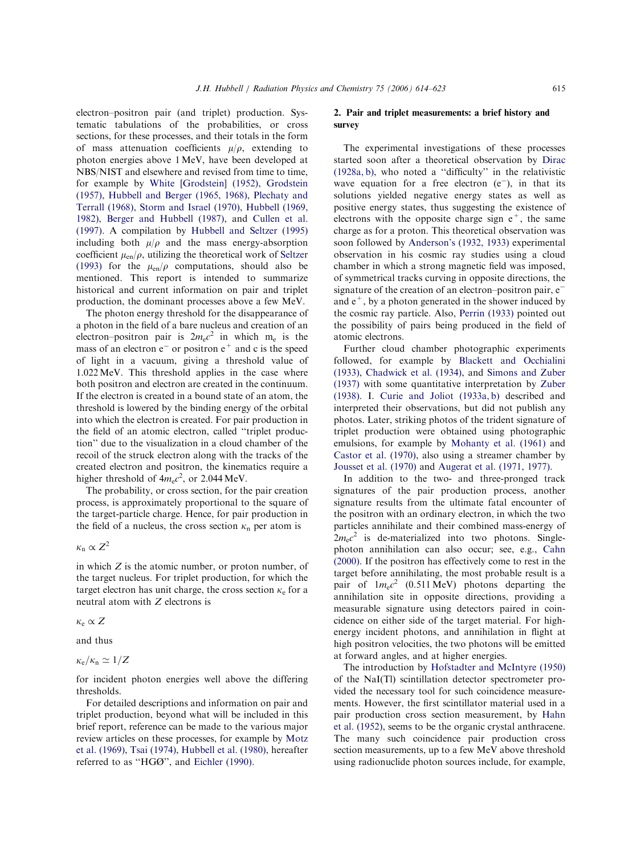electron–positron pair (and triplet) production. Systematic tabulations of the probabilities, or cross sections, for these processes, and their totals in the form of mass attenuation coefficients  $u/\rho$ , extending to photon energies above 1MeV, have been developed at NBS/NIST and elsewhere and revised from time to time, for example by White [Grodstein] (1952), Grodstein (1957), Hubbell and Berger (1965, 1968), Plechaty and Terrall (1968), [Storm and Israel \(197](#page-9-0)0), [Hubbell](#page-7-0) (1969, 1982), [Berger and Hubbell \(1987](#page-7-0)), and [Cullen](#page-8-0) et al. [\(1997\).](#page-8-0) [A compilation by](#page-9-0) Hubb[ell and Seltzer](#page-7-0) (1995) [including both](#page-6-0)  $\mu/\rho$  and the ma[ss energy-abso](#page-6-0)rption coefficient  $\mu_{en}/\rho$ , uti[lizing the theoretical work of](#page-7-0) Seltzer (1993) for the  $\mu_{en}/\rho$  computations, should also be mentioned. This report is intended [to sum](#page-8-0)marize historical and current information on pair and triplet production, the dominant processes above a few MeV.

The photon energy threshold for the disappearance of a photon in the field of a bare nucleus and creation of an electron–positron pair is  $2m_ec^2$  in which m<sub>e</sub> is the mass of an electron  $e^-$  or positron  $e^+$  and c is the speed of light in a vacuum, giving a threshold value of 1.022MeV. This threshold applies in the case where both positron and electron are created in the continuum. If the electron is created in a bound state of an atom, t[he](#page-6-0) threshold is lowered by the binding energy of the orbit[al](#page-9-0) into which the electron is created. For pair production i[n](#page-9-0) the field of an atomic electron, called ''triplet production'' due to the visualization in a cloud chamber of the recoil of the struck electron along with the tracks of the created electron and positron, the kinematics require a higher threshold of  $4m_ec^2$ , or 2.044 MeV.

The probability, or cross section, for the pair creation process, is approximately proportional to the square of the target-particle charge. Hence, for pair production in the field of a nucleus, the cross section  $\kappa_n$  per atom is

 $\kappa_{\rm n} \propto Z^2$ 

in which Z is the atomic number, or proton number, of the target nucleus. For triplet production, for which t[he](#page-6-0) target electron has unit charge, the cross section  $\kappa_e$  for a neutral atom with Z electrons is

$$
\kappa_e \propto Z
$$

and thus

 $\kappa_{\rm e}/\kappa_{\rm n}\simeq 1/Z$ 

for incident photon energies well above the differing thresholds.

For detailed descriptions and information on pair and triplet production, beyond what will be included in this brief report, reference can be made to the various major review articles on these processes, for example by Motz et al. (1969), Tsai (1974), Hubbell et al. (1980), hereafter referred to as ''HGØ'', and Eichler (1990).

#### 2. Pair and triplet measurements: a brief history and survey

The experimental investigations of these processes started soon after a theoretical observation by Dirac (1928a, b), who noted a ''difficulty'' in the relativistic wave equation for a free electron  $(e^-)$ [, in t](#page-6-0)hat its [sol](#page-6-0)utions yielded negative energy states as well as positive energy states, thus suggesting the existence of electrons with the opposite charge sign  $e^+$ , the same charge as for a proton. This theoretical observation was soon followed by Anderson's (1932, 1933) experimental observation in his cosmic ray studies using a cloud chamber i[n which a strong magneti](#page-5-0)c field was imposed, of symmetrical tracks curving in opposite directions, the signature of the creation of an electron–positron pair, e<sup>-</sup> and  $e^+$ , by a photon generated in the shower induced by the cosmic ray particle. Also, Perrin (1933) pointed out the possibility of pair[s](#page-8-0) [being](#page-8-0) [produ](#page-8-0)ced in the field of atomic electrons.

Further cloud chamber photographic experiments followed, for example by Blackett and Occhialini (1933), Chadwick et al. (1934), and Simons and Zuber (1937) with some qua[ntitative interpretation by](#page-6-0) Zuber (1938). I. [Curie and J](#page-6-0)oliot [\(1933a, b\)](#page-9-0) described and interpreted their observations, but did no[t publi](#page-9-0)sh any pho[tos. Later, striking photos of](#page-6-0) the trident signature of triplet production were obtained using photographic emulsions, for example by Mohanty et al. (1961) and Castor et al. (1970), also using a streamer chamber by Jousset et al. (1970) and [Augerat et al. \(197](#page-8-0)1, 1977).

[In additio](#page-6-0)n to the two- and three-pronged track [signatures o](#page-7-0)f th[e pair production proces](#page-6-0)s, another signature results from the ultimate fatal encounter of the positron with an ordinary electron, in which the two particles annihilate and their combined mass-energy of  $2m_ec^2$  is de-materialized into two photons. Singlephoton annihilation can also occur; see, e.g., Cahn (2000). If the positron has effectively come to rest in the target before annihilating, the most proba[ble res](#page-6-0)ult is a pair of  $1m_ec^2$  (0.511 MeV) photons departing the annihilation site in opposite directions, providing a measurable signature using detectors paired in coincidence on either side of the target material. For highenergy incident photons, and annihilation in flight at high positron velocities, the two photons will be emitted at forward angles, and at higher energies.

The introduction by Hofstadter and McIntyre (1950) of the NaI(Tl) scintillation detector spectrometer provided the neces[sary tool for such coincidence m](#page-7-0)easurements. However, the first scintillator material used in a pair production cross section measurement, by Hahn et al. (1952), seems to be the organic crystal anthracene. The many such coincidence pair prod[uction](#page-7-0) cross [sectio](#page-7-0)n measurements, up to a few MeV above threshold using radionuclide photon sources include, for example,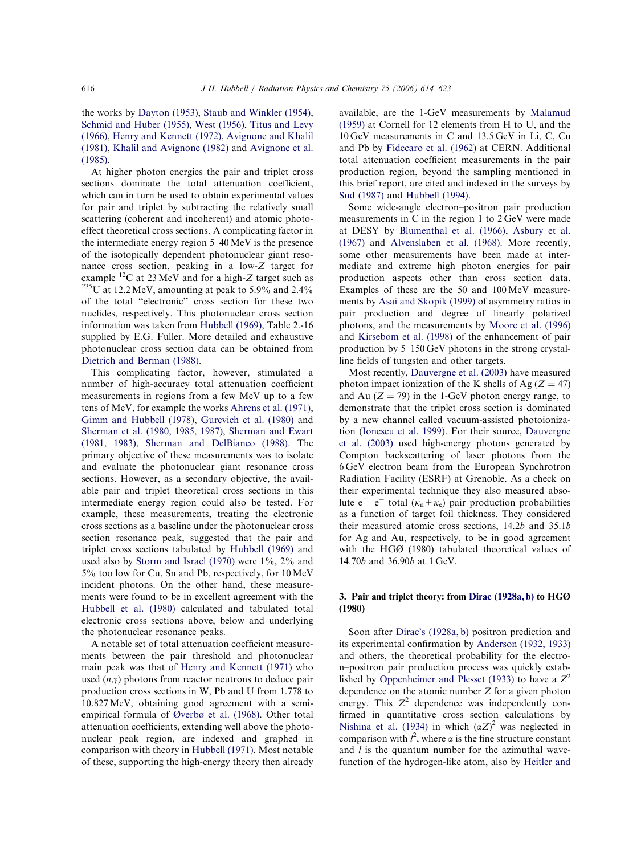### the works by Dayton (1953), Staub and Winkler (1954), Schmid and Huber (1955), West (1956), Titus and Levy (1966), [Henry and Ke](#page-6-0)nnett (1972), [Avignone and](#page-9-0) Khalil (1981), [Khalil and](#page-8-0) [Avignone \(19](#page-9-0)82) and [Avignon](#page-9-0)e et a[l.](#page-8-0) [\(1985\).](#page-7-0)

[At higher photon energie](#page-7-0)s the [pair and triple](#page-6-0)t cross sections dominate the total attenuation coefficient, which can in turn be used to obtain experimental values for pair and triplet by subtracting the relatively small scattering (coherent and incoherent) and atomic photoeffect theoretical cross sections. A complicating factor in the intermediate energy region 5–40 MeV is the presence of the isotopically dependent photonuclear giant resonance cross section, peaking in a low-Z target f[or](#page-5-0) example  ${}^{12}C$  at 23 MeV and for a high-Z target such as  $e^{235}$ U at 12.2 MeV, amounting at peak to 5.9% and 2.4% of the total ''electronic'' cross section for these two nuclides, respectively. This photonuclear cross section information was taken from Hubbell (1969), Table 2.-16 supplied by E.G. Fuller. More detailed and exhaustive photonuclear cross [section data can](#page-7-0) be obtained from Dietrich and Berman (1988).

This complicating factor, however, stimulated a [number of high-accu](#page-6-0)racy total attenuation coefficient measurements in regions from a few MeV up to a few tens of MeV, for example the works Ahrens et al. (1971), Gimm and Hubbell (1978), Gurevich et al. (1980) and Sherman et al. (1980, 1985, 1987), [Sherman and](#page-5-0) Ewart [\(1981, 1983\),](#page-7-0) Sher[man and DelBianco \(](#page-7-0)1988). The [primary objective of these](#page-9-0) [measurements was to](#page-9-0) isolate [and e](#page-9-0)v[aluate the photonuclear giant res](#page-9-0)onance cross sections. However, as a secondary objective, the available pair and triplet theoretical cross sections in this intermediate energy region could also be tested. For example, these measurements, treating the electronic cross sections as a baseline under the photonuclear cross section resonance peak, suggested that the pair and triplet cross sections tabulated by Hubbell (1969) and used also by Storm and Israel  $(1970)$  were  $1\%$ ,  $2\%$  and 5% too low for Cu, Sn and [Pb, respectively,](#page-7-0) for 10MeV incid[ent photons. On the oth](#page-9-0)er hand, these measurements were found to be in excellent agreement with the Hubbell et al. (1980) calculated and tabulated total electronic cross sections above, below and underlying [the photonuclea](#page-7-0)r resonance peaks.

A notable set of total attenuation coefficient measurements between the pair threshold and photonuclear main peak was that of Henry and Kennett (1971) who used  $(n,y)$  photons from reactor neutrons to deduce pair production cros[s sections in W, Pb and U fr](#page-7-0)om 1.778 to 10.827MeV, obtaining good agreement with a semiempirical formula of Øverbø et al. (1968). Other total attenuation coefficients, extending well above the photonuclear peak [region, are indexed](#page-8-0) and graphed in comparison with theory in Hubbell (1971). Most notable of these, supporting the high-energy theory then already available, are the 1-GeV measurements by Malamud (1959) at Cornell for 12 elements from H to U, and the 10 GeV measurements in C and 13.5 [GeV in Li,](#page-8-0) C, Cu and Pb by Fidecaro et al. (1962) at CERN. Additional total attenuation coefficient measurements in the pair pro[duction region, beyon](#page-6-0)d the sampling mentioned in this brief report, are cited and indexed in the surveys by Sud (1987) and Hubbell (1994).

Some wide-angle electron–positron pair production [mea](#page-9-0)sure[ments in C in th](#page-7-0)e region 1 to 2 GeV were made at DESY by Blumenthal et al. (1966), Asbury et al. (1967) and Alvenslaben et al. (1968). More recently, some [other measurements have](#page-6-0) [been made at](#page-5-0) intermedi[ate and extreme high ph](#page-5-0)oton energies for pair production aspects other than cross section data. Examples of these are the 50 and 100 MeV measurements by Asai and Skopik (1999) of asymmetry ratios in pair production and degree of linearly polarized p[hotons, and the measure](#page-5-0)ments by Moore et al. (1996) and Kirsebom et al. (1998) of the enhancement of pair production by 5–150 GeV p[hotons in the strong c](#page-8-0)rystal[line fields of tungste](#page-7-0)n and other targets.

Most recently, Dauvergne et al. (2003) have measured photon impact ionization of the K shells of Ag  $(Z = 47)$ and Au  $(Z = 79)$  in the 1-GeV photon energy range, to demonstrate that the triplet cross section is dominated by a new channel called vacuum-assisted photoionization (Ionescu et al. 1999). For their source, Dauvergne et al. (2003) used high-energy photons generated by [Compton backsc](#page-7-0)attering of laser [photons fro](#page-6-0)m the [6 GeV](#page-6-0) electron beam from the European Synchrotron Radiation Facility (ESRF) at Grenoble. As a check on their experimental technique they also measured absolute  $e^+$ – $e^-$  total ( $\kappa_n + \kappa_e$ ) pair production probabilities as a function of target foil thickness. They considered their measured atomic cross sections, 14.2b and 35.1b for Ag and Au, respectively, to be in good agreement with the HGØ (1980) tabulated theoretical values of 14.70b and 36.90b at 1 GeV.

#### 3. Pair and triplet theory: from Dirac (1928a, b) to HGØ (1980)

Soon after Dirac's (1928a, b) positron prediction and its experimental confirmation by Anderson (1932, 1933) and o[thers, the theoreti](#page-6-0)cal probability for the electron–positron pair producti[on process was quickly](#page-5-0) established by Oppenheimer and Plesset (1933) to have a  $Z^2$ dependence on the atomic number Z for a given photon energy. This  $Z^2$  [dependence was](#page-8-0) independently confirmed in quantitative cross section calculations by Nishina et al. (1934) in which  $(\alpha Z)^2$  was neglected in comparison with  $l^2$ , where  $\alpha$  is the fine structure constant and  $l$  [is the qu](#page-8-0)antum number for the azimuthal wavefunction of the hydrogen-like atom, also by Heitler and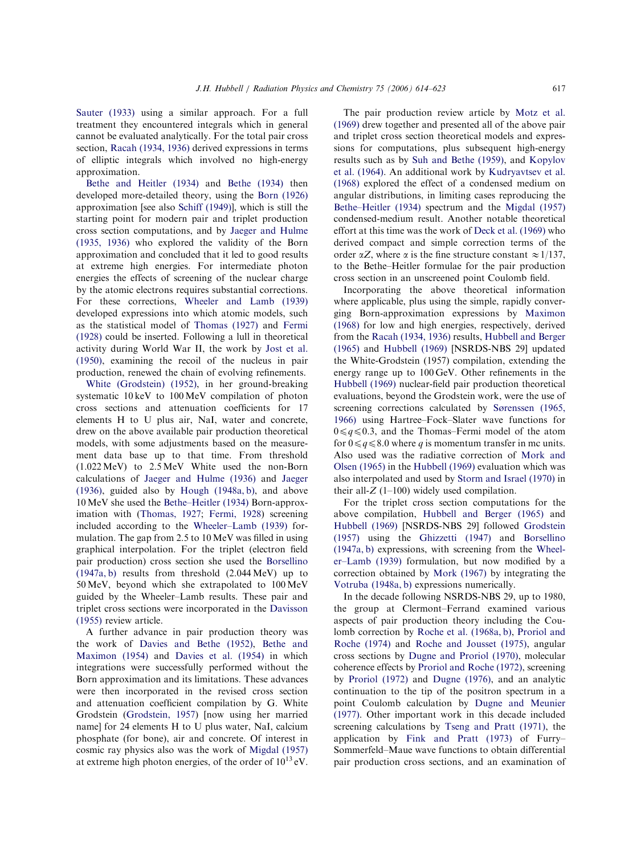Sauter (1933) using a similar approach. For a full treatment they encountered integrals which in general [cannot](#page-7-0) be evaluated analytically. For the total pair cross section, Racah (1934, 1936) derived expressions in ter[ms](#page-8-0) of elliptic integrals which involved no high-energy [approximation.](#page-8-0)

Bethe and Heitler (1934) and Bethe (1934) then developed more-detailed theory, using the Born (1926) [approximation \[see als](#page-6-0)o Schi[ff \(1949\)\], whi](#page-6-0)ch is still t[he](#page-8-0) starting point for modern pair an[d triplet prod](#page-6-0)uction cross section co[mputations, a](#page-8-0)nd by Jaeger and Hulme (1935, 1936) who explored the validity of the Born approximation and conclude[d that it led to good](#page-7-0) results [at ex](#page-7-0)treme high energies. For intermediate photon energies the effects of screening of the nuclear charge by the atomic electrons requires substantial corrections. For these corrections, Wheeler and Lamb (1939) developed expressions into which atomic models, such as the statistical model of [Thomas \(1927\)](#page-9-0) and Fermi (1928) could be inserted. Following a lull in theoretical activity during Worl[d War II, the w](#page-9-0)ork by [Jos](#page-6-0)t et a[l.](#page-8-0) (1950), examining the recoil of the nucleus in pair production, renewed the chain of evo[lving refine](#page-7-0)ments[.](#page-7-0)

White (Grodstein) (1952), in her ground-breaking systematic 10 keV to 100 MeV compilation of photon [cross sections and](#page-9-0) attenuation coefficients for 17 elements H to U plus air, NaI, water and concrete, drew on the above available pair production theoretical models, with some adjustments based on the measur[e](#page-9-0)ment data base up to that time. From threshold (1.022 MeV) to 2.5 MeV White used the non-Born calculations of Jaeger and Hulme (1936) and Jaeger (1936), guided also by Hough (1948a, b), and above 10MeV she used the [Bethe–Heitler \(](#page-7-0)1934) [Born-a](#page-7-0)pproximation with (T[homas, 1927;](#page-7-0) Fermi, 1928) screening included acc[ording to the](#page-6-0) Wheeler–Lamb (1939) formulatio[n. The gap from](#page-9-0) [2.5 to 10 MeV](#page-6-0) was filled in using graphical interpolat[ion. For the triplet \(el](#page-9-0)ectron field pair production) cross section she used the Borsellin[o](#page-7-0) (1947a, b) results from threshold (2.044 MeV) up to 50MeV, beyond which she extrapol[ated to 10](#page-6-0)0MeV [gu](#page-6-0)ided by the Wheeler–Lamb results. These pair and triplet cross sections were incorporated in the Davisson (1955) review article.

A further advance in pair produc[tion theo](#page-6-0)ry was the work of Davies and Bethe (1952), Bethe and Maximon (1954) and Davies et al. (1954) in which integrat[ions were successfully per](#page-6-0)fo[rmed witho](#page-6-0)ut the [Born appr](#page-6-0)oxim[ation and its limitation](#page-6-0)s. These advances were then incorporated in the revised cross section and attenuation coefficient compilation by G. White Grodstein (Grodstein, 1957) [now using her married name] for 24 elements H to U plus water, NaI, calcium pho[sphate \(for bone\)](#page-7-0), air and concrete. Of interest i[n](#page-6-0) cosmic ray physics also was the work of Migdal (1957) at extreme high photon energies, of the order of  $10^{13}$  eV.

The pair production review article by Motz et al. (1969) drew together and presented all of the above pair and triplet cross section theoretical [models and](#page-8-0) expressions for computations, plus subsequent high-energy results such as by Suh and Bethe (1959), and Kopylov et al. (1964). An additional work by Kudryavtsev et al. (1968) expl[ored the effect of a c](#page-9-0)onde[nsed medi](#page-7-0)um on [angu](#page-7-0)lar distributions, in limi[ting cases reproduc](#page-8-0)ing the Bethe–Heitler (1934) spectrum and the Migdal (1957) condensed-medium result. Another notable theoretical [effort at this ti](#page-6-0)me was the work of [Deck et al. \(196](#page-8-0)9) who derived compact and simple correction terms of the order  $\alpha Z$ , where  $\alpha$  is the fi[ne structure consta](#page-6-0)nt  $\approx 1/137$ , to the Bethe–Heitler formulae for the pair production cross section in an unscreened point Coulomb field.

Incorporating the above theoretical information where applicable, plus using the simple, rapidly converging Born-approximation expressions by Maximon (1968) for low and high energies, respectively, derived from the Racah (1934, 1936) results, H[ubbell and](#page-8-0) Berger (1965) and Hubbell (1969) [NSRDS-NBS 29] updated t[he White-Grodstein](#page-8-0) (1957) [compilation, extend](#page-7-0)ing the ener[gy range up to](#page-7-0) 100 GeV. Other refinements in the Hubbell (1969) nuclear-field pair production theoretical evaluations, beyond the Grodstein work, were the use of [screenin](#page-7-0)g corrections calculated by Sørenssen (1965, 1966) using Hartree–Fock–Slater wave functions for  $0 \leq q \leq 0.3$ , and the Thomas–F[ermi model of th](#page-9-0)e atom for  $0 \leq q \leq 8.0$  where q is momentum transfer in mc units. Also used was the radiative correction of Mork and Olsen (1965) in the Hubbell (1969) evaluation which was also interpolated and used by Storm a[nd Israel \(1](#page-8-0)970) in [their](#page-8-0) all- $Z$  ([1–100\) widely u](#page-7-0)sed compilation.

For the triplet cro[ss section computation](#page-9-0)s for the above compilation, Hubbell and Berger (1965) and Hubbell (1969) [NSRDS-NBS 29] followed Grodstein (1957) using the [Ghizzetti \(1947\)](#page-7-0) and Borsellino [\(1947a, b](#page-7-0)) expressions, with screening [from the](#page-7-0) Wheeler–Lamb (1939) [formulation,](#page-7-0) but no[w modifie](#page-6-0)d by a [cor](#page-6-0)rection obtained by Mork (1967) by [integrat](#page-9-0)ing the [Votruba](#page-9-0) (1948a, b) expressions numerically.

In the decade [following NS](#page-8-0)RDS-NBS 29, up to 1980, [the group](#page-9-0) at Clermont–Ferrand examined various aspects of pair production theory including the Coulomb correction by Roche et al. (1968a, b), Proriol and Roche (1974) and Roche and Jousset (1975), angular cross sections by [Dugne and Proriol \(1970\), mo](#page-8-0)lecular [cohere](#page-8-0)nce effects by [Proriol and Roche](#page-8-0) (1972), screening by Proriol (1972) and [Dugne \(1976\)](#page-6-0), and an analytic continuation [to the tip of the positro](#page-8-0)n spectrum in a [point Cou](#page-8-0)lomb [calculation b](#page-6-0)y Dugne and Meunier (1977). Other important work in this decade included screening calculations by [Tseng and Pratt \(197](#page-6-0)1), the application by Fink and Pratt (1973) of Furry– Sommerfeld–Maue [wave functions to obtain](#page-9-0) differential pair prod[uction cross sections, and](#page-7-0) an examination of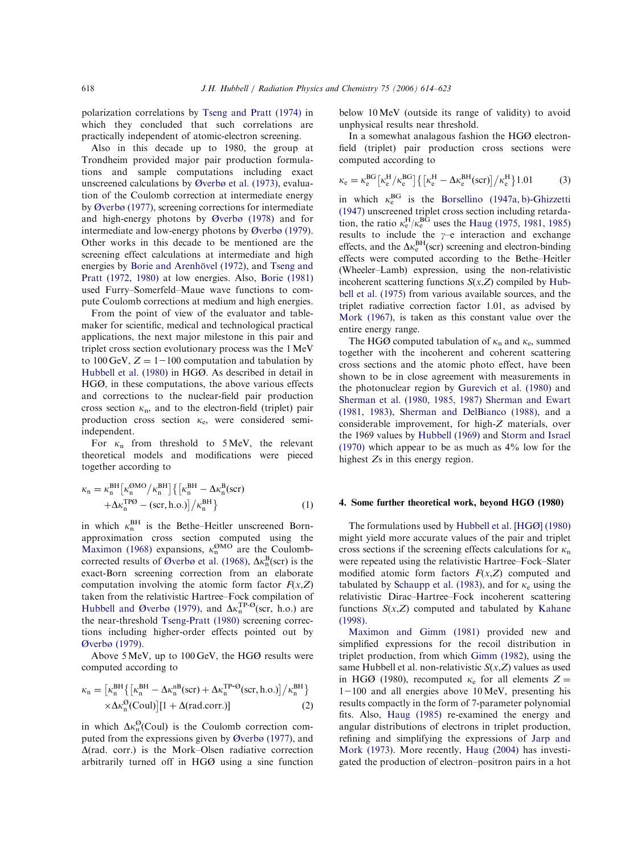polarization correlations by Tseng and Pratt (1974) in which they concluded that such correlations are practically independe[nt of atomic-electron scr](#page-9-0)eening.

Also in this decade up to 1980, the group at Trondheim provided major pair production formulations and sample computations including exact unscreened calculations by Øverbø et al. (1973), evaluation of the Coulomb correction at intermediate energy by Øverbø (1977), s[creening corrections f](#page-8-0)or intermediate and high-energy photons by Øverbø (1978) and for [intermedia](#page-8-0)te and low-energy photons by Øverbø (1979[\).](#page-7-0) Other works in this d[ecade to be me](#page-8-0)ntioned are the screening effect calculations at [intermediate an](#page-8-0)d high energies by Borie and Arenhövel (1972), and Tseng and Pratt (1972, 1980) at low energies. Also, Borie (1981) use[d Furry–Somerfeld–Maue w](#page-6-0)ave f[unctions to](#page-9-0) com[pute Coulom](#page-9-0)b corrections at mediu[m and high en](#page-6-0)ergies.

From the point of view of the evaluator and tablemaker for scientific, medical and technological practical applications, the next major milestone in this pair and triplet cross section evolutionary process was the 1MeV to 100 GeV,  $Z = 1 - 100$  computation and tabulation by Hubbell et al. (1980) in HGØ. As described in detail in HGØ, in these computations, the above various effects [and correctio](#page-7-0)ns to the nuclear-field pair production cross section  $\kappa_n$ , and to the electron-field (triplet) pair production cross section  $\kappa_e$ , were considered semiindependent.

For  $\kappa_n$  from threshold to 5 MeV, the relevant theoretical models and modifications were pieced together according to

$$
\kappa_n = \kappa_n^{\text{BH}} \left[ \kappa_n^{\text{OMO}} / \kappa_n^{\text{BH}} \right] \left\{ \left[ \kappa_n^{\text{BH}} - \Delta \kappa_n^{\text{B}} (\text{scr}) \right. \right.\left. + \Delta \kappa_n^{\text{TPO}} - (\text{scr}, \text{h.o.}) \right] / \kappa_n^{\text{BH}} \right\}
$$
 (1)

in which  $\kappa_n^{\text{BH}}$  is the Bethe–Heitler unscreened Bornapproximation cross section computed using the Maximon (1968) expansions,  $\kappa_n^{\text{OMO}}$  are the Coulombcorrected results of Øverbø et al. (1968),  $\Delta \kappa_n^{\text{B}}(\text{scr})$  is the [exact-Born](#page-8-0) screening correction from an elaborate computatio[n involving the atom](#page-8-0)ic form factor  $F(x, Z)$ taken from the relativistic Hartree–Fock compilation of Hubbell and Øverbø (1979), and  $\Delta \kappa_n^{\text{TP-}\Theta}(\text{scr}, h.o.)$  are the near-threshold Tseng-Pratt (1980) screening correc[tions including high](#page-7-0)er-order effects pointed out b[y](#page-7-0) Øverbø (19[79\).](#page-9-0)

Above 5MeV, up to 100 GeV, the HGØ results were [comput](#page-8-0)ed according to

$$
\kappa_n = \left[\kappa_n^{BH} \left\{ \left[\kappa_n^{BH} - \Delta \kappa_n^{nB}(\text{scr}) + \Delta \kappa_n^{TP\text{-}\varnothing}(\text{scr}, h.o.)\right] / \kappa_n^{BH} \right\} \times \Delta \kappa_n^{\varnothing}(\text{Coul}) \left[1 + \Delta(\text{rad.corr.})\right]
$$
\n(2)

in which  $\Delta \kappa_n^{\mathcal{O}}(\text{Coul})$  is the Coulomb correction computed from the expressions given by Øverbø (1977), and  $\Delta$ (rad. corr.) is the Mork–Olsen radiative correction arbitrarily turned off in H[GØ using a si](#page-8-0)ne function below 10MeV (outside its range of validity) to avoid unphysical results near threshold.

In a somewhat analagous fashion the HGØ electronfield (triplet) pair production cross sections were computed according to

$$
\kappa_e = \kappa_e^{\rm BG} \left[ \kappa_e^{\rm H} / \kappa_e^{\rm BG} \right] \left\{ \left[ \kappa_e^{\rm H} - \Delta \kappa_e^{\rm BH} (\text{scr}) \right] / \kappa_e^{\rm H} \right\} 1.01 \tag{3}
$$

in which  $\kappa_e^{\text{BG}}$  is the Borsellino (1947a, b)-Ghizzetti (1947) unscreened triplet cross section including retardation, the ratio  $\kappa_e^{\text{H}}/\kappa_e^{\text{BG}}$  [uses the](#page-6-0) Haug ([1975, 1981](#page-7-0), 1985) results to include the  $y-e$  interaction and exchange effects, and the  $\Delta \kappa_e^{BH}$ (sc[r\) screening and electron-b](#page-7-0)inding effects were computed according to the Bethe–Heitler (Wheeler–Lamb) expression, using the non-relativistic incoherent scattering functions  $S(x,Z)$  compiled by Hubbell et al. (1975) from various available sources, and the triplet radiative correction factor 1.01, a[s advi](#page-7-0)sed by [Mork \(1](#page-7-0)967), is taken as this constant value over the entire energy range.

[The](#page-8-0) HGØ computed tabulation of  $\kappa_n$  and  $\kappa_e$ , summed together with the incoherent and coherent scattering cross sections and the atomic photo effect, have been shown to be in close agreement with measurements in the photonuclear region by Gurevich et al. (1980) and Sherman et al. (1980, 1985, 1987) Sherman and Ewart (1981, 1983), Sherm[an and DelBianco \(19](#page-7-0)88), and a [considerable improvement, for high-](#page-9-0)Z materials, over [the 19](#page-9-0)69 values by [Hubbell \(1969\)](#page-9-0) and Storm and Israel (1970) which appear to be as much as 4% low for the highest Zs [in this energy re](#page-7-0)gio[n.](#page-9-0)

#### 4. Some further theoretical work, beyond HGØ (1980)

The formulations used by Hubbell et al. [HGØ] (1980) might yield more accurate values of the pair and triplet cross sections if the [screening effects calculations](#page-7-0) for  $\kappa_n$ were repeated using the relativistic Hartree–Fock–Slater modified atomic form factors  $F(x,Z)$  computed and tabulated by Schaupp et al. (1983), and for  $\kappa_e$  using the relativistic Dirac–Hartree–Fock incoherent scattering functions  $S(x, Z)$  computed and tabulated by Kahane (1998).

Maximon and Gimm (1981) prov[ided ne](#page-7-0)w and simplified expressions for the recoil distribution in [triplet production, from w](#page-8-0)hich Gimm (1982), using the same Hubbell et al. non-relativistic  $S(x, Z)$  values as used in HGØ (1980), recom[puted](#page-7-0)  $\kappa_e$  for all elements  $Z =$  $1-100$  and all energies above 10 MeV, presenting his results compactly in the form of 7-parameter polynomial fits. Also, Haug (1985) re-examined the energy and angular distributions of electrons in triplet production, refi[ning and simp](#page-7-0)lifying the expressions of Jarp and Mork (1973). More recently, Haug (2004) has investigated the production of electron–positr[on pairs i](#page-7-0)n a hot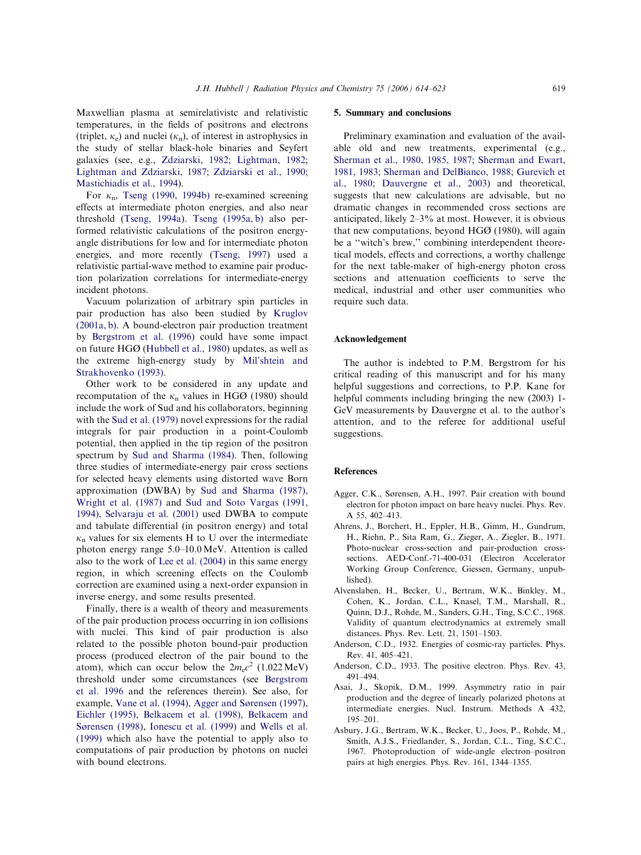<span id="page-5-0"></span>Maxwellian plasma at semirelativiste and relativistic temperatures, in the fields of positrons and electrons (triplet,  $\kappa_e$ ) and nuclei  $(\kappa_n)$ , of interest in astrophysics in the study of stellar black-hole binaries and Seyfert galaxies (see, e.g., Zdziarski, 1982; Lightman, 1982; Lightman and Zdziarski, 1987; Zdziarski et al., 1990; Mastichiadis [et al., 1994\).](#page-9-0)

For  $\kappa_n$ , [Tseng \(1990,](#page-8-0) 1994b) [re-examined sc](#page-9-0)reening [effects at interme](#page-8-0)diate photon energies, and also near thr[eshold \(Tseng, 1994a](#page-9-0)). Tseng (1995a, b) also performed relativistic calculations of the positron energyang[le distributions](#page-9-0) f[or low and for int](#page-9-0)ermediate photon energies, and more recently (Tseng, 1997) used a relativistic partial-wave method to examine pair production polarization correla[tions for int](#page-9-0)ermediate-energy incident photons.

Vacuum polarization of arbitrary spin particles in pair production has also been studied by Kruglov (2001a, b). A bound-electron pair production treatment by Bergstrom et al. (1996) could ha[ve some](#page-8-0) impact [on](#page-8-0) future HGØ (Hubbell et al., 1980) updates, as well as [the extreme high-en](#page-6-0)ergy study by Mil'shtein and Strakhov[enko \(1993\).](#page-7-0)

Other work to be considere[d in any upda](#page-8-0)te and [recomputation](#page-8-0) of the  $\kappa_n$  values in HGØ (1980) should include the work of Sud and his collaborators, beginning with the Sud et al. (1979) novel expressions for the radial integrals for pair production in a point-Coulomb p[otential, then ap](#page-9-0)plied in the tip region of the positron spectrum by Sud and Sharma (1984). Then, following three studies of intermediate-energy pair cross sections for se[lected heavy elements us](#page-9-0)ing distorted wave Born approximation (DWBA) by Sud and Sharma (1987), Wright et al. (1987) and Sud and Soto Vargas (1991, 1994), Selvaraju et al. (2001) [used DWBA to c](#page-9-0)ompute [and tabulate](#page-9-0) diffe[rential \(in positron energy\) an](#page-9-0)d total  $k_n$  [values for six eleme](#page-8-0)nts H to U over the intermediate photon energy range 5.0–10.0 MeV. Attention is called also to the work of Lee et al. (2004) in this same energy region, in which screening effects on the Coulomb correction a[re examined usin](#page-8-0)g a next-order expansion in inverse energy, and some results presented.

Finally, there is a wealth of theory and measurements of the pair production process occurring in ion collisions with nuclei. This kind of pair production is also related to the possible photon bound-pair production process (produced electron of the pair bound to the atom), which can occur below the  $2m_ec^2$  (1.022 MeV) threshold under some circumstances (see Bergstrom et al. 1996 and the references therein). See also, for example, Vane et al. (1994), Agger an[d Sørensen](#page-6-0) (1997), [Eich](#page-6-0)ler (1995), Belkacem et al. (1998), Belkacem and S[ørensen \(1998\),](#page-9-0) Ionescu et al. (1999) and Wells et al. [\(1999\)](#page-6-0) [which also have the pot](#page-6-0)e[ntial to apply](#page-6-0) also to [computat](#page-6-0)i[ons of pair productio](#page-7-0)n by [photons on](#page-9-0) nuclei with bound electrons.

#### 5. Summary and conclusions

Preliminary examination and evaluation of the available old and new treatments, experimental (e.g., Sherman et al., 1980, 1985, 1987; Sherman and Ewart, 1981, 1983; Sherman and DelBianco, 1988; Gurevich et al., 1980; [Dauvergne et al., 2003\) and theo](#page-9-0)retical, [suggests that new calculations are](#page-9-0) [advisable,](#page-7-0) but no [dr](#page-7-0)a[matic changes in recomm](#page-6-0)ended cross sections are anticipated, likely 2–3% at most. However, it is obvious that new computations, beyond HGØ (1980), will again be a ''witch's brew,'' combining interdependent theoretical models, effects and corrections, a worthy challenge for the next table-maker of high-energy photon cross sections and attenuation coefficients to serve the medical, industrial and other user communities who require such data.

#### Acknowledgement

The author is indebted to P.M. Bergstrom for his critical reading of this manuscript and for his many helpful suggestions and corrections, to P.P. Kane for helpful comments including bringing the new (2003) 1- GeV measurements by Dauvergne et al. to the author's attention, and to the referee for additional useful suggestions.

#### References

- Agger, C.K., Sørensen, A.H., 1997. Pair creation with bound electron for photon impact on bare heavy nuclei. Phys. Rev. A 55, 402–413.
- Ahrens, J., Borchert, H., Eppler, H.B., Gimm, H., Gundrum, H., Riehn, P., Sita Ram, G., Zieger, A., Ziegler, B., 1971. Photo-nuclear cross-section and pair-production crosssections. AED-Conf.-71-400-031 (Electron Accelerator Working Group Conference, Giessen, Germany, unpublished).
- Alvenslaben, H., Becker, U., Bertram, W.K., Binkley, M., Cohen, K., Jordan, C.L., Knasel, T.M., Marshall, R., Quinn, D.J., Rohde, M., Sanders, G.H., Ting, S.C.C., 1968. Validity of quantum electrodynamics at extremely small distances. Phys. Rev. Lett. 21, 1501–1503.
- Anderson, C.D., 1932. Energies of cosmic-ray particles. Phys. Rev. 41, 405–421.
- Anderson, C.D., 1933. The positive electron. Phys. Rev. 43, 491–494.
- Asai, J., Skopik, D.M., 1999. Asymmetry ratio in pair production and the degree of linearly polarized photons at intermediate energies. Nucl. Instrum. Methods A 432, 195–201.
- Asbury, J.G., Bertram, W.K., Becker, U., Joos, P., Rohde, M., Smith, A.J.S., Friedlander, S., Jordan, C.L., Ting, S.C.C., 1967. Photoproduction of wide-angle electron–positron pairs at high energies. Phys. Rev. 161, 1344–1355.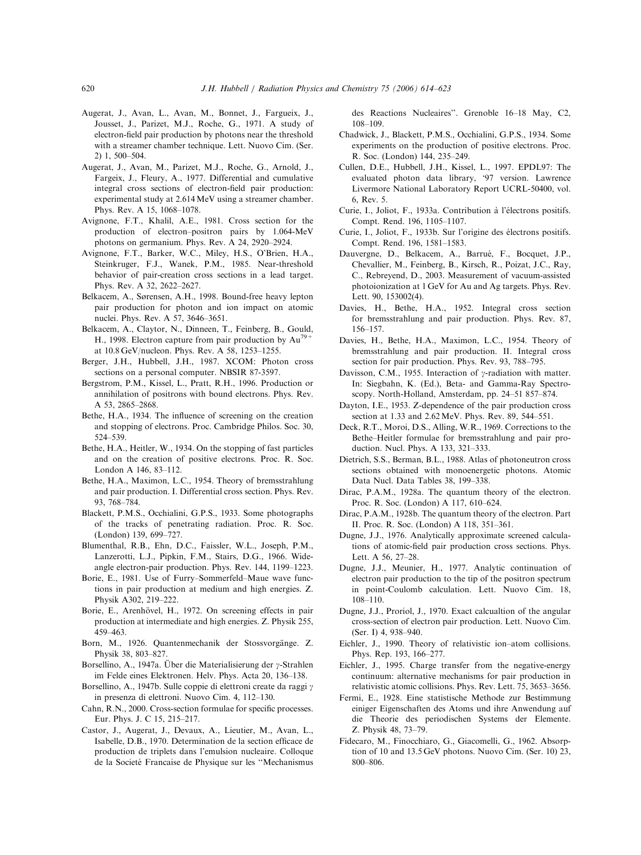- <span id="page-6-0"></span>Augerat, J., Avan, L., Avan, M., Bonnet, J., Fargueix, J., Jousset, J., Parizet, M.J., Roche, G., 1971. A study of electron-field pair production by photons near the threshold with a streamer chamber technique. Lett. Nuovo Cim. (Ser. 2) 1, 500–504.
- Augerat, J., Avan, M., Parizet, M.J., Roche, G., Arnold, J., Fargeix, J., Fleury, A., 1977. Differential and cumulative integral cross sections of electron-field pair production: experimental study at 2.614MeV using a streamer chamber. Phys. Rev. A 15, 1068–1078.
- Avignone, F.T., Khalil, A.E., 1981. Cross section for the production of electron–positron pairs by 1.064-MeV photons on germanium. Phys. Rev. A 24, 2920–2924.
- Avignone, F.T., Barker, W.C., Miley, H.S., O'Brien, H.A., Steinkruger, F.J., Wanek, P.M., 1985. Near-threshold behavior of pair-creation cross sections in a lead target. Phys. Rev. A 32, 2622–2627.
- Belkacem, A., Sørensen, A.H., 1998. Bound-free heavy lepton pair production for photon and ion impact on atomic nuclei. Phys. Rev. A 57, 3646–3651.
- Belkacem, A., Claytor, N., Dinneen, T., Feinberg, B., Gould, H., 1998. Electron capture from pair production by  $Au^{79}$ at 10.8 GeV/nucleon. Phys. Rev. A 58, 1253–1255.
- Berger, J.H., Hubbell, J.H., 1987. XCOM: Photon cross sections on a personal computer. NBSIR 87-3597.
- Bergstrom, P.M., Kissel, L., Pratt, R.H., 1996. Production or annihilation of positrons with bound electrons. Phys. Rev. A 53, 2865–2868.
- Bethe, H.A., 1934. The influence of screening on the creation and stopping of electrons. Proc. Cambridge Philos. Soc. 30, 524–539.
- Bethe, H.A., Heitler, W., 1934. On the stopping of fast particles and on the creation of positive electrons. Proc. R. Soc. London A 146, 83–112.
- Bethe, H.A., Maximon, L.C., 1954. Theory of bremsstrahlung and pair production. I. Differential cross section. Phys. Rev. 93, 768–784.
- Blackett, P.M.S., Occhialini, G.P.S., 1933. Some photographs of the tracks of penetrating radiation. Proc. R. Soc. (London) 139, 699–727.
- Blumenthal, R.B., Ehn, D.C., Faissler, W.L., Joseph, P.M., Lanzerotti, L.J., Pipkin, F.M., Stairs, D.G., 1966. Wideangle electron-pair production. Phys. Rev. 144, 1199–1223.
- Borie, E., 1981. Use of Furry–Sommerfeld–Maue wave functions in pair production at medium and high energies. Z. Physik A302, 219–222.
- Borie, E., Arenhövel, H., 1972. On screening effects in pair production at intermediate and high energies. Z. Physik 255, 459–463.
- Born, M., 1926. Quantenmechanik der Stossvorgänge. Z. Physik 38, 803–827.
- Borsellino, A., 1947a. Über die Materialisierung der  $\gamma$ -Strahlen im Felde eines Elektronen. Helv. Phys. Acta 20, 136–138.
- Borsellino, A., 1947b. Sulle coppie di elettroni create da raggi  $\gamma$ in presenza di elettroni. Nuovo Cim. 4, 112–130.
- Cahn, R.N., 2000. Cross-section formulae for specific processes. Eur. Phys. J. C 15, 215–217.
- Castor, J., Augerat, J., Devaux, A., Lieutier, M., Avan, L., Isabelle, D.B., 1970. Determination de la section efficace de production de triplets dans l'emulsion nucleaire. Colloque de la Societé Francaise de Physique sur les "Mechanismus

des Reactions Nucleaires''. Grenoble 16–18 May, C2, 108–109.

- Chadwick, J., Blackett, P.M.S., Occhialini, G.P.S., 1934. Some experiments on the production of positive electrons. Proc. R. Soc. (London) 144, 235–249.
- Cullen, D.E., Hubbell, J.H., Kissel, L., 1997. EPDL97: The evaluated photon data library, '97 version. Lawrence Livermore National Laboratory Report UCRL-50400, vol. 6, Rev. 5.
- Curie, I., Joliot, F., 1933a. Contribution à l'électrons positifs. Compt. Rend. 196, 1105–1107.
- Curie, I., Joliot, F., 1933b. Sur l'origine des électrons positifs. Compt. Rend. 196, 1581–1583.
- Dauvergne, D., Belkacem, A., Barrué, F., Bocquet, J.P., Chevallier, M., Feinberg, B., Kirsch, R., Poizat, J.C., Ray, C., Rebreyend, D., 2003. Measurement of vacuum-assisted photoionization at 1 GeV for Au and Ag targets. Phys. Rev. Lett. 90, 153002(4).
- Davies, H., Bethe, H.A., 1952. Integral cross section for bremsstrahlung and pair production. Phys. Rev. 87, 156–157.
- Davies, H., Bethe, H.A., Maximon, L.C., 1954. Theory of bremsstrahlung and pair production. II. Integral cross section for pair production. Phys. Rev. 93, 788–795.
- Davisson, C.M., 1955. Interaction of  $\gamma$ -radiation with matter. In: Siegbahn, K. (Ed.), Beta- and Gamma-Ray Spectroscopy. North-Holland, Amsterdam, pp. 24–51 857–874.
- Dayton, I.E., 1953. Z-dependence of the pair production cross section at 1.33 and 2.62MeV. Phys. Rev. 89, 544–551.
- Deck, R.T., Moroi, D.S., Alling, W.R., 1969. Corrections to the Bethe–Heitler formulae for bremsstrahlung and pair production. Nucl. Phys. A 133, 321–333.
- Dietrich, S.S., Berman, B.L., 1988. Atlas of photoneutron cross sections obtained with monoenergetic photons. Atomic Data Nucl. Data Tables 38, 199–338.
- Dirac, P.A.M., 1928a. The quantum theory of the electron. Proc. R. Soc. (London) A 117, 610–624.
- Dirac, P.A.M., 1928b. The quantum theory of the electron. Part II. Proc. R. Soc. (London) A 118, 351–361.
- Dugne, J.J., 1976. Analytically approximate screened calculations of atomic-field pair production cross sections. Phys. Lett. A 56, 27–28.
- Dugne, J.J., Meunier, H., 1977. Analytic continuation of electron pair production to the tip of the positron spectrum in point-Coulomb calculation. Lett. Nuovo Cim. 18, 108–110.
- Dugne, J.J., Proriol, J., 1970. Exact calcualtion of the angular cross-section of electron pair production. Lett. Nuovo Cim. (Ser. I) 4, 938–940.
- Eichler, J., 1990. Theory of relativistic ion–atom collisions. Phys. Rep. 193, 166–277.
- Eichler, J., 1995. Charge transfer from the negative-energy continuum: alternative mechanisms for pair production in relativistic atomic collisions. Phys. Rev. Lett. 75, 3653–3656.
- Fermi, E., 1928. Eine statistische Methode zur Bestimmung einiger Eigenschaften des Atoms und ihre Anwendung auf die Theorie des periodischen Systems der Elemente. Z. Physik 48, 73–79.
- Fidecaro, M., Finocchiaro, G., Giacomelli, G., 1962. Absorption of 10 and 13.5 GeV photons. Nuovo Cim. (Ser. 10) 23, 800–806.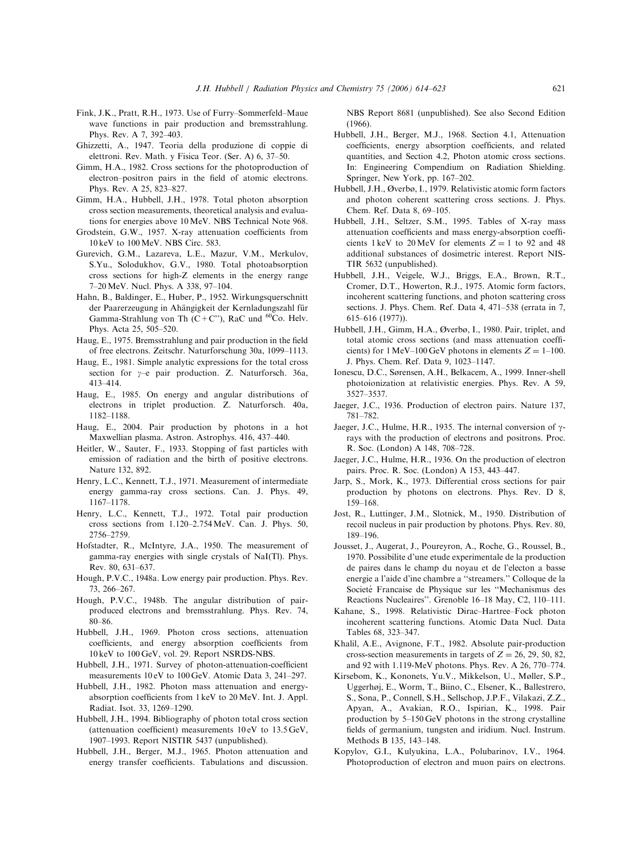- <span id="page-7-0"></span>Fink, J.K., Pratt, R.H., 1973. Use of Furry–Sommerfeld–Maue wave functions in pair production and bremsstrahlung. Phys. Rev. A 7, 392–403.
- Ghizzetti, A., 1947. Teoria della produzione di coppie di elettroni. Rev. Math. y Fisica Teor. (Ser. A) 6, 37–50.
- Gimm, H.A., 1982. Cross sections for the photoproduction of electron–positron pairs in the field of atomic electrons. Phys. Rev. A 25, 823–827.
- Gimm, H.A., Hubbell, J.H., 1978. Total photon absorption cross section measurements, theoretical analysis and evaluations for energies above 10 MeV. NBS Technical Note 968.
- Grodstein, G.W., 1957. X-ray attenuation coefficients from 10 keV to 100MeV. NBS Circ. 583.
- Gurevich, G.M., Lazareva, L.E., Mazur, V.M., Merkulov, S.Yu., Solodukhov, G.V., 1980. Total photoabsorption cross sections for high-Z elements in the energy range 7–20MeV. Nucl. Phys. A 338, 97–104.
- Hahn, B., Baldinger, E., Huber, P., 1952. Wirkungsquerschnitt der Paarerzeugung in Ahängigkeit der Kernladungszahl für Gamma-Strahlung von Th (C+C"), RaC und  ${}^{60}$ Co. Helv. Phys. Acta 25, 505–520.
- Haug, E., 1975. Bremsstrahlung and pair production in the field of free electrons. Zeitschr. Naturforschung 30a, 1099–1113.
- Haug, E., 1981. Simple analytic expressions for the total cross section for  $\gamma$ –e pair production. Z. Naturforsch. 36a, 413–414.
- Haug, E., 1985. On energy and angular distributions of electrons in triplet production. Z. Naturforsch. 40a, 1182–1188.
- Haug, E., 2004. Pair production by photons in a hot Maxwellian plasma. Astron. Astrophys. 416, 437–440.
- Heitler, W., Sauter, F., 1933. Stopping of fast particles with emission of radiation and the birth of positive electrons. Nature 132, 892.
- Henry, L.C., Kennett, T.J., 1971. Measurement of intermediate energy gamma-ray cross sections. Can. J. Phys. 49, 1167–1178.
- Henry, L.C., Kennett, T.J., 1972. Total pair production cross sections from 1.120–2.754MeV. Can. J. Phys. 50, 2756–2759.
- Hofstadter, R., McIntyre, J.A., 1950. The measurement of gamma-ray energies with single crystals of NaI(Tl). Phys. Rev. 80, 631–637.
- Hough, P.V.C., 1948a. Low energy pair production. Phys. Rev. 73, 266–267.
- Hough, P.V.C., 1948b. The angular distribution of pairproduced electrons and bremsstrahlung. Phys. Rev. 74, 80–86.
- Hubbell, J.H., 1969. Photon cross sections, attenuation coefficients, and energy absorption coefficients from 10 keV to 100 GeV, vol. 29. Report NSRDS-NBS.
- Hubbell, J.H., 1971. Survey of photon-attenuation-coefficient measurements 10 eV to 100 GeV. Atomic Data 3, 241–297.
- Hubbell, J.H., 1982. Photon mass attenuation and energyabsorption coefficients from 1 keV to 20 MeV. Int. J. Appl. Radiat. Isot. 33, 1269–1290.
- Hubbell, J.H., 1994. Bibliography of photon total cross section (attenuation coefficient) measurements 10 eV to 13.5 GeV, 1907–1993. Report NISTIR 5437 (unpublished).
- Hubbell, J.H., Berger, M.J., 1965. Photon attenuation and energy transfer coefficients. Tabulations and discussion.

NBS Report 8681 (unpublished). See also Second Edition (1966).

- Hubbell, J.H., Berger, M.J., 1968. Section 4.1, Attenuation coefficients, energy absorption coefficients, and related quantities, and Section 4.2, Photon atomic cross sections. In: Engineering Compendium on Radiation Shielding. Springer, New York, pp. 167–202.
- Hubbell, J.H., Øverbø, I., 1979. Relativistic atomic form factors and photon coherent scattering cross sections. J. Phys. Chem. Ref. Data 8, 69–105.
- Hubbell, J.H., Seltzer, S.M., 1995. Tables of X-ray mass attenuation coefficients and mass energy-absorption coefficients 1 keV to 20 MeV for elements  $Z = 1$  to 92 and 48 additional substances of dosimetric interest. Report NIS-TIR 5632 (unpublished).
- Hubbell, J.H., Veigele, W.J., Briggs, E.A., Brown, R.T., Cromer, D.T., Howerton, R.J., 1975. Atomic form factors, incoherent scattering functions, and photon scattering cross sections. J. Phys. Chem. Ref. Data 4, 471–538 (errata in 7, 615–616 (1977)).
- Hubbell, J.H., Gimm, H.A., Øverbø, I., 1980. Pair, triplet, and total atomic cross sections (and mass attenuation coefficients) for 1 MeV–100 GeV photons in elements  $Z = 1-100$ . J. Phys. Chem. Ref. Data 9, 1023–1147.
- Ionescu, D.C., Sørensen, A.H., Belkacem, A., 1999. Inner-shell photoionization at relativistic energies. Phys. Rev. A 59, 3527–3537.
- Jaeger, J.C., 1936. Production of electron pairs. Nature 137, 781–782.
- Jaeger, J.C., Hulme, H.R., 1935. The internal conversion of  $\gamma$ rays with the production of electrons and positrons. Proc. R. Soc. (London) A 148, 708–728.
- Jaeger, J.C., Hulme, H.R., 1936. On the production of electron pairs. Proc. R. Soc. (London) A 153, 443–447.
- Jarp, S., Mork, K., 1973. Differential cross sections for pair production by photons on electrons. Phys. Rev. D 8, 159–168.
- Jost, R., Luttinger, J.M., Slotnick, M., 1950. Distribution of recoil nucleus in pair production by photons. Phys. Rev. 80, 189–196.
- Jousset, J., Augerat, J., Poureyron, A., Roche, G., Roussel, B., 1970. Possibilite d'une etude experimentale de la production de paires dans le champ du noyau et de l'electon a basse energie a l'aide d'ine chambre a ''streamers.'' Colloque de la Societé Francaise de Physique sur les "Mechanismus des Reactions Nucleaires''. Grenoble 16–18 May, C2, 110–111.
- Kahane, S., 1998. Relativistic Dirac–Hartree–Fock photon incoherent scattering functions. Atomic Data Nucl. Data Tables 68, 323–347.
- Khalil, A.E., Avignone, F.T., 1982. Absolute pair-production cross-section measurements in targets of  $Z = 26, 29, 50, 82,$ and 92 with 1.119-MeV photons. Phys. Rev. A 26, 770–774.
- Kirsebom, K., Kononets, Yu.V., Mikkelson, U., Møller, S.P., Uggerhøj, E., Worm, T., Biino, C., Elsener, K., Ballestrero, S., Sona, P., Connell, S.H., Sellschop, J.P.F., Vilakazi, Z.Z., Apyan, A., Avakian, R.O., Ispirian, K., 1998. Pair production by 5–150 GeV photons in the strong crystalline fields of germanium, tungsten and iridium. Nucl. Instrum. Methods B 135, 143–148.
- Kopylov, G.I., Kulyukina, L.A., Polubarinov, I.V., 1964. Photoproduction of electron and muon pairs on electrons.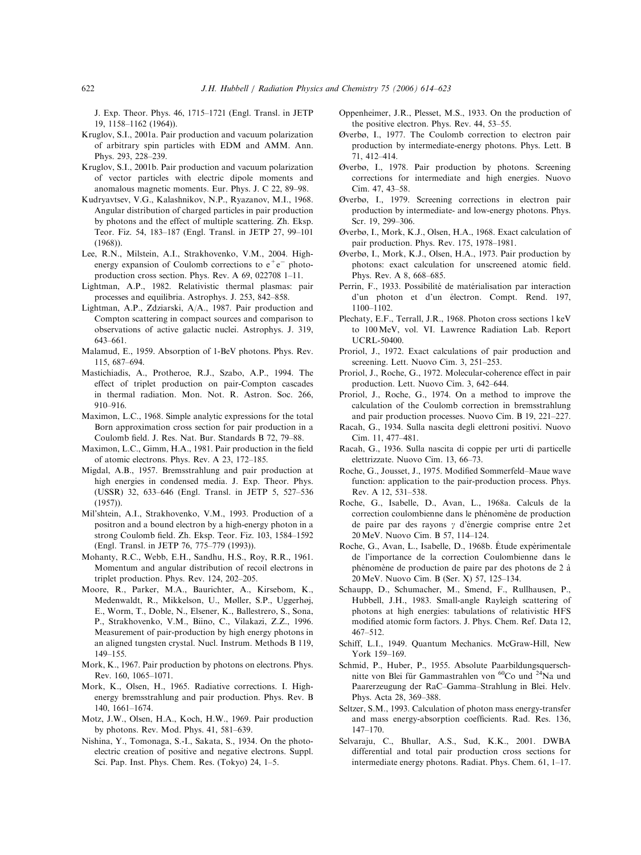<span id="page-8-0"></span>J. Exp. Theor. Phys. 46, 1715–1721 (Engl. Transl. in JETP 19, 1158–1162 (1964)).

- Kruglov, S.I., 2001a. Pair production and vacuum polarization of arbitrary spin particles with EDM and AMM. Ann. Phys. 293, 228–239.
- Kruglov, S.I., 2001b. Pair production and vacuum polarization of vector particles with electric dipole moments and anomalous magnetic moments. Eur. Phys. J. C 22, 89–98.
- Kudryavtsev, V.G., Kalashnikov, N.P., Ryazanov, M.I., 1968. Angular distribution of charged particles in pair production by photons and the effect of multiple scattering. Zh. Eksp. Teor. Fiz. 54, 183–187 (Engl. Transl. in JETP 27, 99–101 (1968)).
- Lee, R.N., Milstein, A.I., Strakhovenko, V.M., 2004. Highenergy expansion of Coulomb corrections to  $e^+e^-$  photoproduction cross section. Phys. Rev. A 69, 022708 1–11.
- Lightman, A.P., 1982. Relativistic thermal plasmas: pair processes and equilibria. Astrophys. J. 253, 842–858.
- Lightman, A.P., Zdziarski, A/A., 1987. Pair production and Compton scattering in compact sources and comparison to observations of active galactic nuclei. Astrophys. J. 319, 643–661.
- Malamud, E., 1959. Absorption of 1-BeV photons. Phys. Rev. 115, 687–694.
- Mastichiadis, A., Protheroe, R.J., Szabo, A.P., 1994. The effect of triplet production on pair-Compton cascades in thermal radiation. Mon. Not. R. Astron. Soc. 266, 910–916.
- Maximon, L.C., 1968. Simple analytic expressions for the total Born approximation cross section for pair production in a Coulomb field. J. Res. Nat. Bur. Standards B 72, 79–88.
- Maximon, L.C., Gimm, H.A., 1981. Pair production in the field of atomic electrons. Phys. Rev. A 23, 172–185.
- Migdal, A.B., 1957. Bremsstrahlung and pair production at high energies in condensed media. J. Exp. Theor. Phys. (USSR) 32, 633–646 (Engl. Transl. in JETP 5, 527–536 (1957)).
- Mil'shtein, A.I., Strakhovenko, V.M., 1993. Production of a positron and a bound electron by a high-energy photon in a strong Coulomb field. Zh. Eksp. Teor. Fiz. 103, 1584–1592 (Engl. Transl. in JETP 76, 775–779 (1993)).
- Mohanty, R.C., Webb, E.H., Sandhu, H.S., Roy, R.R., 1961. Momentum and angular distribution of recoil electrons in triplet production. Phys. Rev. 124, 202–205.
- Moore, R., Parker, M.A., Baurichter, A., Kirsebom, K., Medenwaldt, R., Mikkelson, U., Møller, S.P., Uggerhøj, E., Worm, T., Doble, N., Elsener, K., Ballestrero, S., Sona, P., Strakhovenko, V.M., Biino, C., Vilakazi, Z.Z., 1996. Measurement of pair-production by high energy photons in an aligned tungsten crystal. Nucl. Instrum. Methods B 119, 149–155.
- Mork, K., 1967. Pair production by photons on electrons. Phys. Rev. 160, 1065–1071.
- Mork, K., Olsen, H., 1965. Radiative corrections. I. Highenergy bremsstrahlung and pair production. Phys. Rev. B 140, 1661–1674.
- Motz, J.W., Olsen, H.A., Koch, H.W., 1969. Pair production by photons. Rev. Mod. Phys. 41, 581–639.
- Nishina, Y., Tomonaga, S.-I., Sakata, S., 1934. On the photoelectric creation of positive and negative electrons. Suppl. Sci. Pap. Inst. Phys. Chem. Res. (Tokyo) 24, 1–5.
- Oppenheimer, J.R., Plesset, M.S., 1933. On the production of the positive electron. Phys. Rev. 44, 53–55.
- Øverbø, I., 1977. The Coulomb correction to electron pair production by intermediate-energy photons. Phys. Lett. B 71, 412–414.
- Øverbø, I., 1978. Pair production by photons. Screening corrections for intermediate and high energies. Nuovo Cim. 47, 43–58.
- Øverbø, I., 1979. Screening corrections in electron pair production by intermediate- and low-energy photons. Phys. Scr. 19, 299–306.
- Øverbø, I., Mork, K.J., Olsen, H.A., 1968. Exact calculation of pair production. Phys. Rev. 175, 1978–1981.
- Øverbø, I., Mork, K.J., Olsen, H.A., 1973. Pair production by photons: exact calculation for unscreened atomic field. Phys. Rev. A 8, 668–685.
- Perrin, F., 1933. Possibilité de matérialisation par interaction d'un photon et d'un électron. Compt. Rend. 197, 1100–1102.
- Plechaty, E.F., Terrall, J.R., 1968. Photon cross sections 1 keV to 100MeV, vol. VI. Lawrence Radiation Lab. Report UCRL-50400.
- Proriol, J., 1972. Exact calculations of pair production and screening. Lett. Nuovo Cim. 3, 251–253.
- Proriol, J., Roche, G., 1972. Molecular-coherence effect in pair production. Lett. Nuovo Cim. 3, 642–644.
- Proriol, J., Roche, G., 1974. On a method to improve the calculation of the Coulomb correction in bremsstrahlung and pair production processes. Nuovo Cim. B 19, 221–227.
- Racah, G., 1934. Sulla nascita degli elettroni positivi. Nuovo Cim. 11, 477–481.
- Racah, G., 1936. Sulla nascita di coppie per urti di particelle elettrizzate. Nuovo Cim. 13, 66–73.
- Roche, G., Jousset, J., 1975. Modified Sommerfeld–Maue wave function: application to the pair-production process. Phys. Rev. A 12, 531–538.
- Roche, G., Isabelle, D., Avan, L., 1968a. Calculs de la correction coulombienne dans le phénomène de production de paire par des rayons  $\gamma$  d'énergie comprise entre 2 et 20 MeV. Nuovo Cim. B 57, 114–124.
- Roche, G., Avan, L., Isabelle, D., 1968b. Étude expérimentale de l'importance de la correction Coulombienne dans le phénomène de production de paire par des photons de 2 à 20 MeV. Nuovo Cim. B (Ser. X) 57, 125–134.
- Schaupp, D., Schumacher, M., Smend, F., Rullhausen, P., Hubbell, J.H., 1983. Small-angle Rayleigh scattering of photons at high energies: tabulations of relativistic HFS modified atomic form factors. J. Phys. Chem. Ref. Data 12, 467–512.
- Schiff, L.I., 1949. Quantum Mechanics. McGraw-Hill, New York 159–169.
- Schmid, P., Huber, P., 1955. Absolute Paarbildungsquerschnitte von Blei für Gammastrahlen von  ${}^{60}Co$  und  ${}^{24}Na$  und Paarerzeugung der RaC–Gamma–Strahlung in Blei. Helv. Phys. Acta 28, 369–388.
- Seltzer, S.M., 1993. Calculation of photon mass energy-transfer and mass energy-absorption coefficients. Rad. Res. 136, 147–170.
- Selvaraju, C., Bhullar, A.S., Sud, K.K., 2001. DWBA differential and total pair production cross sections for intermediate energy photons. Radiat. Phys. Chem. 61, 1–17.